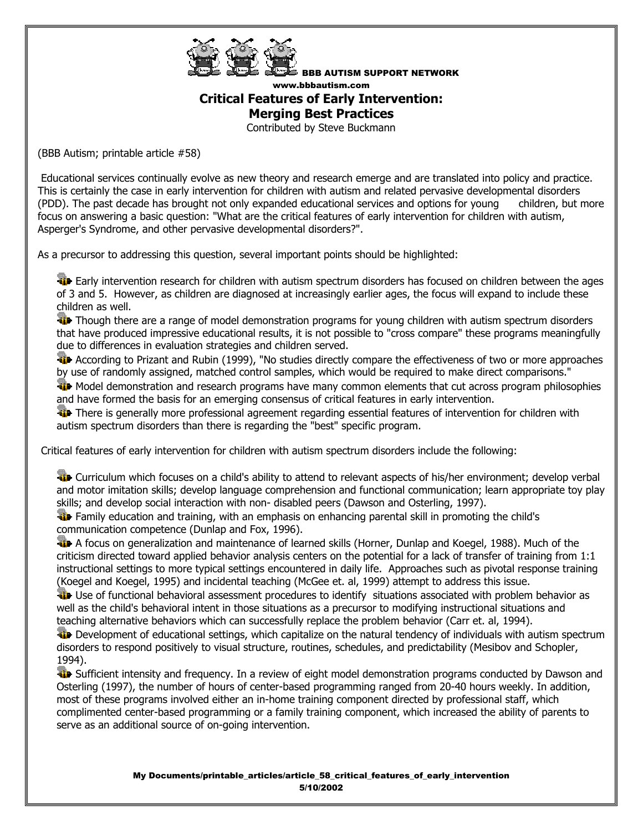

BBB AUTISM SUPPORT NETWORK www.bbbautism.com **Critical Features of Early Intervention: Merging Best Practices**

Contributed by Steve Buckmann

(BBB Autism; printable article #58)

 Educational services continually evolve as new theory and research emerge and are translated into policy and practice. This is certainly the case in early intervention for children with autism and related pervasive developmental disorders (PDD). The past decade has brought not only expanded educational services and options for young children, but more focus on answering a basic question: "What are the critical features of early intervention for children with autism, Asperger's Syndrome, and other pervasive developmental disorders?".

As a precursor to addressing this question, several important points should be highlighted:

**Early intervention research for children with autism spectrum disorders has focused on children between the ages** of 3 and 5. However, as children are diagnosed at increasingly earlier ages, the focus will expand to include these children as well.

Though there are a range of model demonstration programs for young children with autism spectrum disorders that have produced impressive educational results, it is not possible to "cross compare" these programs meaningfully due to differences in evaluation strategies and children served.

**ACCORDING TO PRIZAL And Rubin (1999), "No studies directly compare the effectiveness of two or more approaches** by use of randomly assigned, matched control samples, which would be required to make direct comparisons."

We Model demonstration and research programs have many common elements that cut across program philosophies and have formed the basis for an emerging consensus of critical features in early intervention.

There is generally more professional agreement regarding essential features of intervention for children with autism spectrum disorders than there is regarding the "best" specific program.

Critical features of early intervention for children with autism spectrum disorders include the following:

**Curriculum which focuses on a child's ability to attend to relevant aspects of his/her environment; develop verbal** and motor imitation skills; develop language comprehension and functional communication; learn appropriate toy play skills; and develop social interaction with non- disabled peers (Dawson and Osterling, 1997).

**Family education and training, with an emphasis on enhancing parental skill in promoting the child's** communication competence (Dunlap and Fox, 1996).

**A** focus on generalization and maintenance of learned skills (Horner, Dunlap and Koegel, 1988). Much of the criticism directed toward applied behavior analysis centers on the potential for a lack of transfer of training from 1:1 instructional settings to more typical settings encountered in daily life. Approaches such as pivotal response training (Koegel and Koegel, 1995) and incidental teaching (McGee et. al, 1999) attempt to address this issue.

Use of functional behavioral assessment procedures to identify situations associated with problem behavior as well as the child's behavioral intent in those situations as a precursor to modifying instructional situations and teaching alternative behaviors which can successfully replace the problem behavior (Carr et. al, 1994).

**Development of educational settings, which capitalize on the natural tendency of individuals with autism spectrum** disorders to respond positively to visual structure, routines, schedules, and predictability (Mesibov and Schopler, 1994).

**W** Sufficient intensity and frequency. In a review of eight model demonstration programs conducted by Dawson and Osterling (1997), the number of hours of center-based programming ranged from 20-40 hours weekly. In addition, most of these programs involved either an in-home training component directed by professional staff, which complimented center-based programming or a family training component, which increased the ability of parents to serve as an additional source of on-going intervention.

> My Documents/printable\_articles/article\_58\_critical\_features\_of\_early\_intervention 5/10/2002